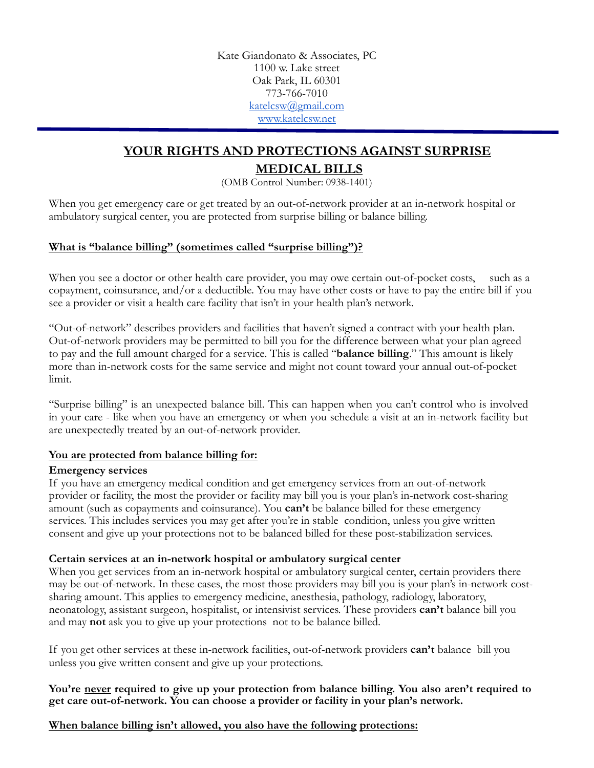Kate Giandonato & Associates, PC 1100 w. Lake street Oak Park, IL 60301 773-766-7010 [katelcsw@gmail.com](mailto:katelcsw@gmail.com) [www.katelcsw.net](http://www.katelcsw.net)

# **YOUR RIGHTS AND PROTECTIONS AGAINST SURPRISE**

## **MEDICAL BILLS**

(OMB Control Number: 0938-1401)

When you get emergency care or get treated by an out-of-network provider at an in-network hospital or ambulatory surgical center, you are protected from surprise billing or balance billing.

#### **What is "balance billing" (sometimes called "surprise billing")?**

When you see a doctor or other health care provider, you may owe certain out-of-pocket costs, such as a copayment, coinsurance, and/or a deductible. You may have other costs or have to pay the entire bill if you see a provider or visit a health care facility that isn't in your health plan's network.

"Out-of-network" describes providers and facilities that haven't signed a contract with your health plan. Out-of-network providers may be permitted to bill you for the difference between what your plan agreed to pay and the full amount charged for a service. This is called "**balance billing**." This amount is likely more than in-network costs for the same service and might not count toward your annual out-of-pocket limit.

"Surprise billing" is an unexpected balance bill. This can happen when you can't control who is involved in your care - like when you have an emergency or when you schedule a visit at an in-network facility but are unexpectedly treated by an out-of-network provider.

#### **You are protected from balance billing for:**

#### **Emergency services**

If you have an emergency medical condition and get emergency services from an out-of-network provider or facility, the most the provider or facility may bill you is your plan's in-network cost-sharing amount (such as copayments and coinsurance). You **can't** be balance billed for these emergency services. This includes services you may get after you're in stable condition, unless you give written consent and give up your protections not to be balanced billed for these post-stabilization services.

#### **Certain services at an in-network hospital or ambulatory surgical center**

When you get services from an in-network hospital or ambulatory surgical center, certain providers there may be out-of-network. In these cases, the most those providers may bill you is your plan's in-network costsharing amount. This applies to emergency medicine, anesthesia, pathology, radiology, laboratory, neonatology, assistant surgeon, hospitalist, or intensivist services. These providers **can't** balance bill you and may **not** ask you to give up your protections not to be balance billed.

If you get other services at these in-network facilities, out-of-network providers **can't** balance bill you unless you give written consent and give up your protections.

#### **You're never required to give up your protection from balance billing. You also aren't required to get care out-of-network. You can choose a provider or facility in your plan's network.**

### **When balance billing isn't allowed, you also have the following protections:**